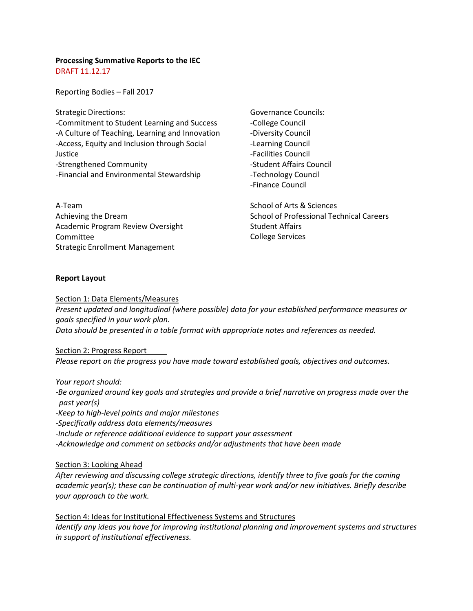# **Processing Summative Reports to the IEC**

DRAFT 11.12.17

Reporting Bodies – Fall 2017

Strategic Directions: -Commitment to Student Learning and Success -A Culture of Teaching, Learning and Innovation -Access, Equity and Inclusion through Social Justice -Strengthened Community -Financial and Environmental Stewardship

A-Team Achieving the Dream Academic Program Review Oversight Committee Strategic Enrollment Management

Governance Councils: -College Council -Diversity Council -Learning Council -Facilities Council -Student Affairs Council -Technology Council -Finance Council

School of Arts & Sciences School of Professional Technical Careers Student Affairs College Services

## **Report Layout**

Section 1: Data Elements/Measures

*Present updated and longitudinal (where possible) data for your established performance measures or goals specified in your work plan. Data should be presented in a table format with appropriate notes and references as needed.* 

Section 2: Progress Report *Please report on the progress you have made toward established goals, objectives and outcomes.*

*Your report should: -Be organized around key goals and strategies and provide a brief narrative on progress made over the past year(s) -Keep to high-level points and major milestones -Specifically address data elements/measures -Include or reference additional evidence to support your assessment -Acknowledge and comment on setbacks and/or adjustments that have been made*

## Section 3: Looking Ahead

*After reviewing and discussing college [strategic directions,](https://www.lanecc.edu/planning/strategic-directions) identify three to five goals for the coming academic year(s); these can be continuation of multi-year work and/or new initiatives. Briefly describe your approach to the work.* 

Section 4: Ideas for Institutional Effectiveness Systems and Structures *Identify any ideas you have for improving institutional planning and improvement systems and structures in support of institutional effectiveness.*